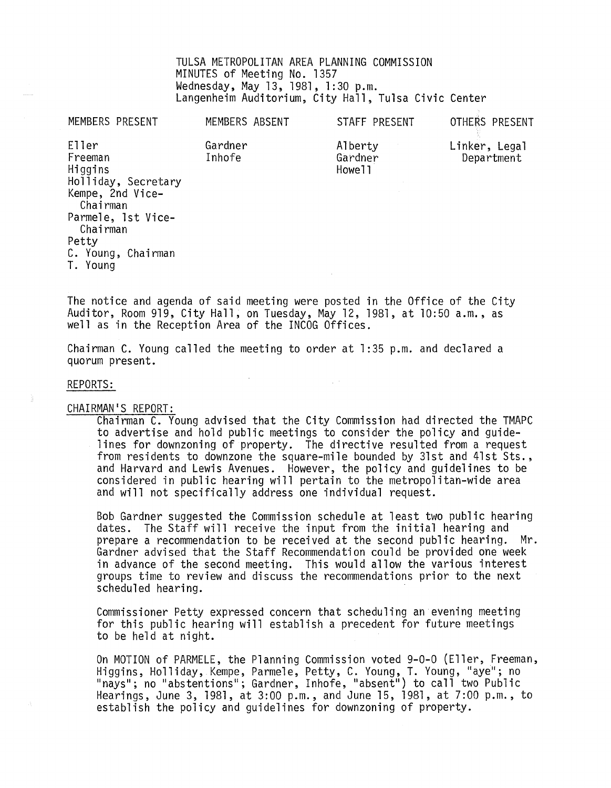TULSA METROPOLITAN AREA PLANNING COMMISSION MINUTES of Meeting No. 1357 Wednesday, May 13,1981, 1:30 p.m. Langenheim Auditorium, City Hall, Tulsa Civic Center

MEMBERS PRESENT

MEMBERS ABSENT

Gardner Inhofe

STAFF PRESENT

Alberty Gardner Howe<sup>11</sup>

OTHERS PRESENT

Linker, Legal Department

Eller Freeman Higgins Holliday, Secretary Kempe, 2nd Vice-Chairman Parmele, 1st Vice-Chairman Petty C. Young, Chairman T. Young

The notice and agenda of said meeting were posted in the Office of the City Auditor, Room 919, City Hall, on Tuesday, May 12, 1981, at 10:50 a.m., as well as in the Reception Area of the INCOG Offices.

Chairman C. Young called the meeting to order at 1:35 p.m. and declared a quorum present.

### REPORTS:

#### CHAIRMAN'S REPORT:

Chairman C. Young advised that the City Commission had directed the TMAPC to advertise and hold public meetings to consider the policy and guidefrom residents to downzone the square-mile bounded by 31st and 41st Sts., and Harvard and Lewis Avenues. However, the policy and guidelines to be considered in public hearing will pertain to the metropolitan-wide area and will not specifically address one individual request.

 $\mathcal{L}_{\mathrm{eff}}$  .

Bob Gardner suggested the Commission schedule at least two public hearing dates. The Staff will receive the input from the initial hearing and prepare a recommendation to be received at the second public hearing. Mr. prepare a recommendation to be received at the second public hearing. Gardner advised that the Staff Recommendation could be provided one week in advance of the second meeting. This would allow the various interest groups time to review and discuss the recommendations prior to the next scheduled hearing.

Commissioner Petty expressed concern that scheduling an evening meeting for this public hearing will establish a precedent for future meetings to be held at night.

On MOTION of PARMELE, the Planning Commission voted 9-0-0 (Eller, Freeman, Higgins, Holliday, Kempe, Parmele, Petty, C. Young, T. Young, "aye"; no "nays"; no "abstentions"; Gardner, Inhofe, "absent") to call two Public Hearings, June 3, 1981, at 3:00 p.m., and June 15, 1981, at 7:00 p.m., to establish the policy and guidelines for downzoning of property.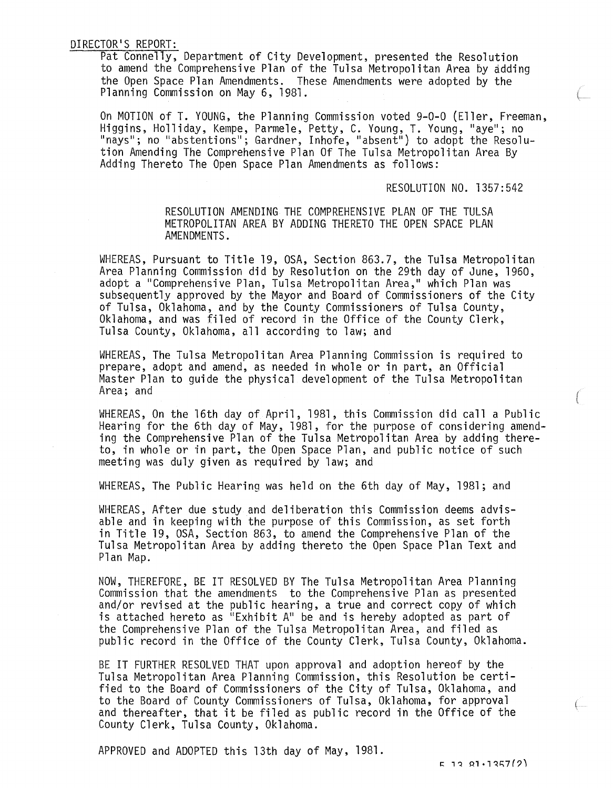Pat Connelly, Department of City Development, presented the Resolution to amend the Comprehensive Plan of the Tulsa Metropolitan Area by adding the Open Space Plan Amendments. These Amendments were adopted by the Planning Commission on May 6, 1981.

On MOTION of T. YOUNG, the Planning Commission voted 9-0-0 (Eller, Freeman, Higgins, Holliday, Kempe, Parmele, Petty, C. Young, T. Young, "aye"; no "nays"; no "abstentions"; Gardner, Inhofe, "absent") to adopt the Resolution Amending The Comprehensive Plan Of The Tulsa Metropolitan Area By Adding Thereto The Open Space Plan Amendments as follows:

RESOLUTION NO. 1357:542

RESOLUTION AMENDING THE COMPREHENSIVE PLAN OF THE TULSA METROPOLITAN AREA BY ADDING THERETO THE OPEN SPACE PLAN AMENDMENTS.

WHEREAS, Pursuant to Title 19, OSA, Section 863.7, the Tulsa Metropolitan Area Planning Commission did by Resolution on the 29th day of June, 1960, adopt a "Comprehensive Plan, Tulsa Metropolitan Area," which Plan was subsequently approved by the Mayor and Board of Commissioners of the City<br>of Tulsa, Oklahoma, and by the County Commissioners of Tulsa County, Oklahoma, and was filed of record in the Office of the County Clerk, Tulsa County, Oklahoma, all according to law; and

WHEREAS, The Tulsa Metropolitan Area Planning Commission is required to prepare, adopt and amend, as needed in whole or in part, an Official Master Plan to guide the physical development of the Tulsa Metropolitan Area; and

WHEREAS, On the 16th day of April, 1981, this Commission did call a Public Hearing for the 6th day of May, 1981, for the purpose of considering amending the Comprehensive Plan of the Tulsa Metropolitan Area by adding thereto, in whole or in part, the Open Space Plan, and public notice of such meeting was duly given as required by law; and

WHEREAS, The Public Hearing was held on the 6th day of May, 1981; and

WHEREAS, After due study and deliberation this Commission deems advisable and in keeping with the purpose of this Commission, as set forth in Title 19, OSA, Section 863, to amend the Comprehensive Plan of the Tulsa Metropolitan Area by adding thereto the Open Space Plan Text and Plan Map.

NOW, THEREFORE, BE IT RESOLVED BY The Tulsa Metropolitan Area Planning Commission that the amendments to the Comprehensive Plan as presented and/or revised at the public hearing, a true and correct copy of which is attached hereto as "Exhibit A" be and is hereby adopted as part of the Comprehensive Plan of the Tulsa Metropolitan Area, and filed as public record in the Office of the County Clerk, Tulsa County, Oklahoma.

BE IT FURTHER RESOLVED THAT upon approval and adoption hereof by the Tulsa Metropolitan Area Planning Commission, this Resolution be certified to the Board of Commissioners of the City of Tulsa, Oklahoma, and to the Board of County Commissioners of Tulsa, Oklahoma, for approval and thereafter, that it be filed as public record in the Office of the County Clerk, Tulsa County, Oklahoma.

APPROVED and ADOPTED this 13th day of May, 1981.

 $F = 12.81 \cdot 1357(2)$ 

 $\leftarrow$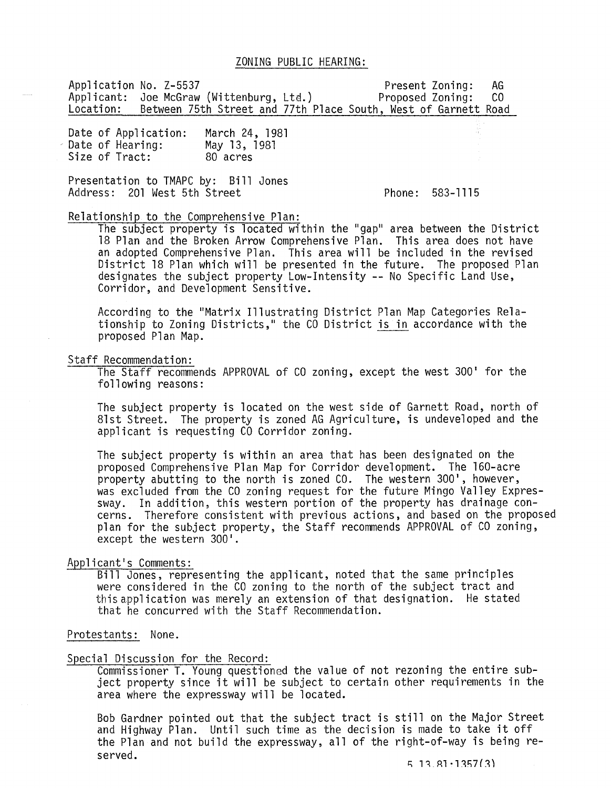Application No. Z-5537<br>Applicant: Joe McGraw (Wittenburg, Ltd.) Proposed Zoning: CO Applicant: Joe McGraw (Wittenburg, Ltd.) Location: Between 75th Street and 77th Place South, West of Garnett Road

Date of Application: Date of Hearing: Size of Tract: March 24, 1981 May 13,1981 80 acres

Presentation to TMAPC by: Bill Jones Address: 201 West 5th Street

Phone: 583-1115

### Relationship to the Comprehensive Plan:

The subject property is located within the "gap" area between the District 18 Plan and the Broken Arrow Comprehensive Plan. This area does not have an adopted Comprehensive Plan. This area will be included in the revised District 18 Plan which will be presented in the future. The proposed Plan designates the subject property Low-Intensity **--** No Specific Land Use, Corridor, and Development Sensitive.

According to the "Matrix Illustrating District Plan Map Categories Relationship to Zoning Districts," the CO District is in accordance with the proposed Plan Map.

Staff Recommendation:<br>The Staff recommends APPROVAL of CO zoning, except the west 300' for the following reasons:

The subject property is located on the west side of Garnett Road, north of 81st Street. The property is zoned AG Agriculture, is undeveloped and the applicant is requesting CO Corridor zoning.

The subject property is within an area that has been designated on the proposed Comprehensive Plan Map for Corridor development. The 160-acre property abutting to the north is zoned CO. The western 300·, however, was excluded from the CO zoning request for the future Mingo Valley Expressway. In addition, this western portion of the property has drainage concerns. Therefore consistent with previous actions, and based on the proposed plan for the subject property, the Staff recommends APPROVAL of CO zoning, except the western 300'.

### Applicant·s Comments:

Bill Jones, representing the applicant, noted that the same principles were considered in the CO zoning to the north of the subject tract and this application was merely an extension of that designation. He stated that he concurred with the Staff Recommendation.

#### Protestants: None.

#### Special Discussion for the Record:

Commissioner T. Young questioned the value of not rezoning the entire subject property since it will be subject to certain other requirements in the area where the expressway will be located.

Bob Gardner pointed out that the subject tract is still on the Major Street and Highway Plan. Until such time as the decision is made to take it off the Plan and not build the expressway, all of the right-of-way is being reserved.  $5, 13, 81, 1357(3)$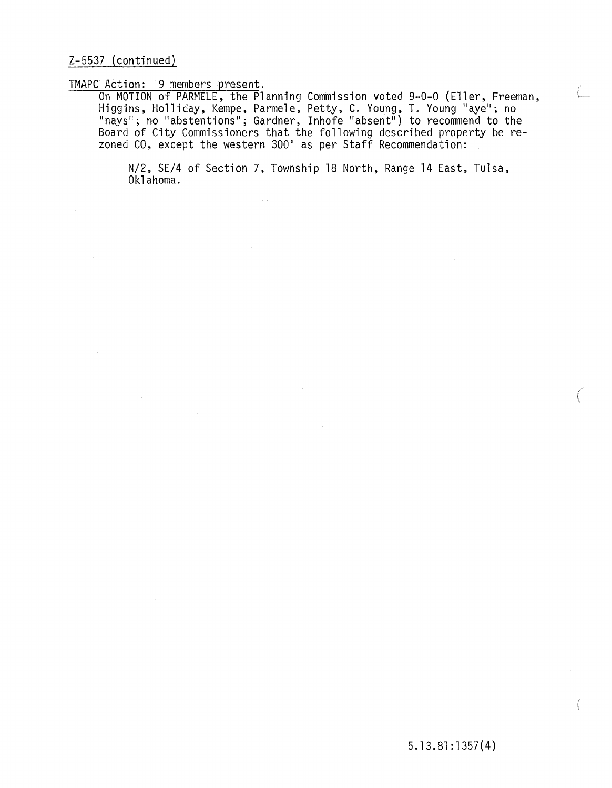Z-5537 (continued)

TMAPC Action: 9 members present.

On MOTION of PARMELE, the Planning Commission voted 9-0-0 (Eller, Freeman, Higgins, Holliday, Kempe, Parmele, Petty, C. Young, T. Young "aye"; no "nays"; no "abstentions"; Gardner, Inhofe "absent") to recommend to the Board of City Commissioners that the following described property be rezoned CO, except the western 300· as per Staff Recommendation:

N/2, SE/4 of Section 7, Township 18 North, Range 14 East, Tulsa, Oklahoma.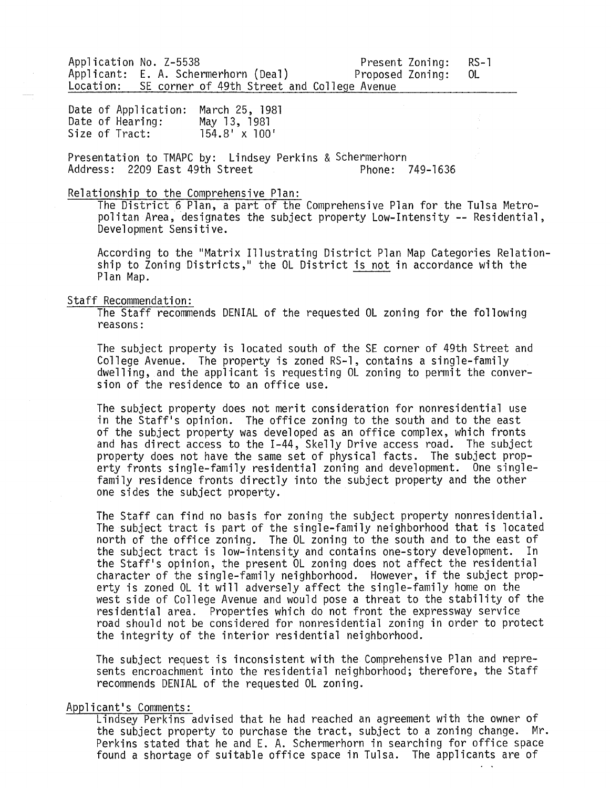Application No. Z-5538<br>Applicant: E. A. Schermerhorn (Deal) Proposed Zoning: OL Applicant: E. A. Schermerhorn (Deal)<br>Location: SE corner of 49th Street and C SE corner of 49th Street and College Avenue

Date of Application: March 25, 1981 Date of Hearing: Size of Tract: May 13, 1981 154.8' x 100'

Presentation to TMAPC by: Lindsey Perkins & Schermerhorn Address: 2209 East 49th Street

### Relationship to the Comprehensive Plan:

The District 6 Plan, a part of the Comprehensive Plan for the Tulsa Metropolitan Area, designates the subject property Low-Intensity -- Residential, Development Sensitive.

According to the "Matrix Illustrating District Plan Map Categories Relationship to Zoning Districts," the OL District is not in accordance with the Plan Map.

#### Staff Recommendation:

The Staff recommends DENIAL of the requested OL zoning for the following reasons:

The subject property is located south of the SE corner of 49th Street and College Avenue. The property is zoned RS-1, contains a single-family dwelling, and the applicant is requesting OL zoning to permit the conversion of the residence to an office use.

The subject property does not merit consideration for nonresidential use in the Staff's opinion. The office zoning to the south and to the east of the subject property was developed as an office complex, which fronts and has direct access to the 1-44, Skelly Drive access road. The subject property does not have the same set of physical facts. The subject property fronts single-family residential zoning and development. One singlefamily residence fronts directly into the subject property and the other one sides the subject property.

The Staff can find no basis for zoning the subject property nonresidential. The subject tract is part of the single-family neighborhood that is located north of the office zoning. The OL zoning to the south and to the east of the subject tract is low-intensity and contains one-story development. In the Staff's opinion, the present OL zoning does not affect the residential character of the single-family neighborhood. However, if the subject property is zoned OL it will adversely affect the single-family home on the west side of College Avenue and would pose a threat to the stability of the residential area. Properties which do not front the expressway service road should not be considered for nonresidential zoning in order to protect the integrity of the interior residential neighborhood.

The subject request is inconsistent with the Comprehensive Plan and represents encroachment into the residential neighborhood; therefore, the Staff recommends DENIAL of the requested OL zoning.

### Applicant's Comments:

Lindsey Perkins advised that he had reached an agreement with the owner of the subject property to purchase the tract, subject to a zoning change. Mr.<br>Perkins stated that he and E. A. Schermerhorn in searching for office space found a shortage of suitable office space in Tulsa. The applicants are of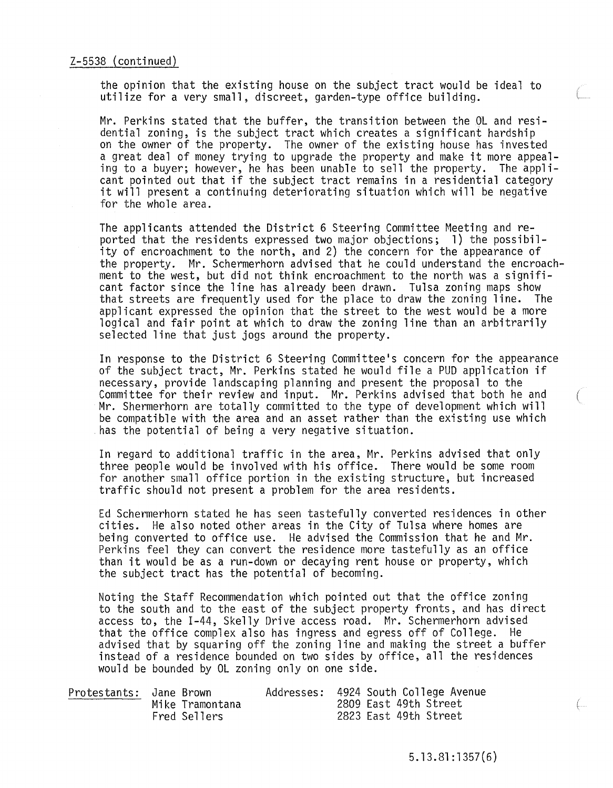the opinion that the existing house on the subject tract would be ideal to utilize for a very small, discreet, garden-type office building.

Mr. Perkins stated that the buffer, the transition between the OL and residential zoning, is the subject tract which creates a significant hardship on the owner of the property. The owner of the existing house has invested<br>a great deal of money trying to upgrade the property and make it more appealing to a buyer; however, he has been unable to sell the property. The applicant pointed out that if the subject tract remains in a residential category it will present a continuing deteriorating situation which will be negative for the whole area.

The applicants attended the District 6 Steering Committee Meeting and reported that the residents expressed two major objections; 1) the possibility of encroachment to the north, and 2) the concern for the appearance of the property. Mr. Schermerhorn advised that he could understand the encroachment to the west, but did not think encroachment to the north was a significant factor since the line has already been drawn. Tulsa zoning maps show that streets are frequently used for the place to draw the zoning line. The applicant expressed the opinion that the street to the west would be a more logical and fair point at which to draw the zoning line than an arbitrarily selected line that just jogs around the property.

In response to the District 6 Steering Committee's concern for the appearance of the subject tract, Mr. Perkins stated he would file a PUD application if necessary, provide landscaping planning and present the proposal to the Committee for their review and input. Mr. Perkins advised that both he and ( Mr. Shermerhorn are totally committed to the type of development which will be compatible with the area and an asset rather than the existing use which has the potential of being a very negative situation.

In regard to additional traffic in the area, Mr. Perkins advised that only three people would be involved with his office. There would be some room for another small office portion in the existing structure, but increased traffic should not present a problem for the area residents.

Ed Schermerhorn stated he has seen tastefully converted residences in other cities. He also noted other areas in the City of Tulsa where homes are being converted to office use. He advised the Commission that he and Mr. Perkins feel they can convert the residence more tastefully as an office than it would be as a run-down or decaying rent house or property, which the subject tract has the potential of becoming.

Noting the Staff Recommendation which pointed out that the office zoning to the south and to the east of the subject property fronts, and has direct access to, the 1-44, Skelly Drive access road. Mr. Schermerhorn advised that the office complex also has ingress and egress off of College. He advised that by squaring off the zoning line and making the street a buffer instead of a residence bounded on two sides by office, all the residences would be bounded by OL zoning only on one side.

| Protestants: Jane Brown |                 | Addresses: 4924 South College Avenue |                       |  |  |
|-------------------------|-----------------|--------------------------------------|-----------------------|--|--|
|                         | Mike Tramontana |                                      | 2809 East 49th Street |  |  |
|                         | Fred Sellers    |                                      | 2823 East 49th Street |  |  |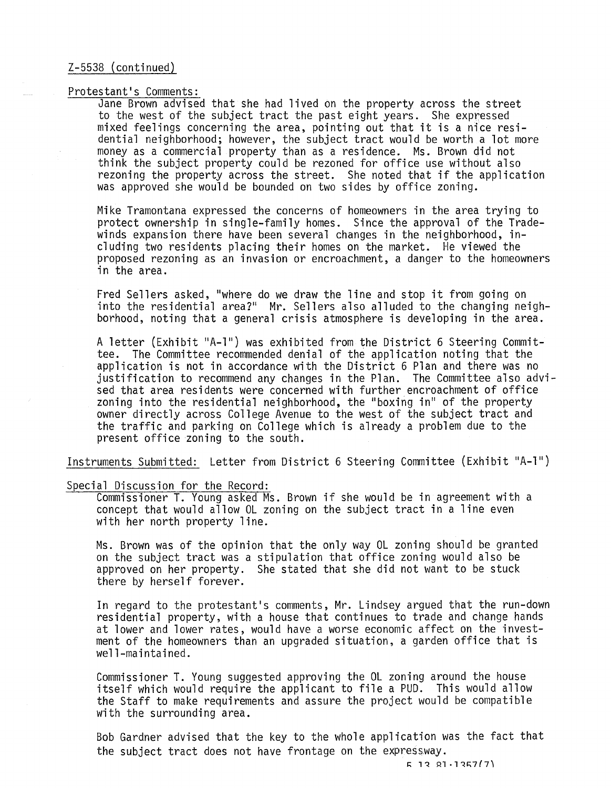### Protestant's Comments:

Jane Brown advised that she had lived on the property across the street to the west of the subject tract the past eight years. She expressed mixed feelings concerning the area, pointing out that it is a nice residential neighborhood; however, the subject tract would be worth a lot more money as a commercial property than as a residence. Ms. Brown did not think the subject property could be rezoned for office use without also rezoning the property across the street. She noted that if the application was approved she would be bounded on two sides by office zoning.

Mike Tramontana expressed the concerns of homeowners in the area trying to protect ownership in single-family homes. Since the approval of the Tradewinds expansion there have been several changes in the neighborhood, including two residents placing their homes on the market. He viewed the proposed rezoning as an invasion or encroachment, a danger to the homeowners in the area.

Fred Sellers asked, "where do we draw the line and stop it from going on into the residential area?" Mr. Sellers also alluded to the changing neighborhood, noting that a general crisis atmosphere is developing in the area.

A letter (Exhibit "A-1") was exhibited from the District 6 Steering Committee. The Committee recommended denial of the application noting that the application is not in accordance with the District 6 Plan and there was no justification to recommend any changes in the Plan. The Committee also advised that area residents were concerned with further encroachment of office zoning into the residential neighborhood, the "boxing in" of the property owner directly across College Avenue to the west of the subject tract and the traffic and parking on College which is already a problem due to the present office zoning to the south.

Instruments Submitted: Letter from District 6 Steering Committee (Exhibit "A-l")

#### Special Discussion for the Record:

Commissioner T. Young asked Ms. Brown if she would be in agreement with a concept that would allow OL zoning on the subject tract in a line even with her north property line.

Ms. Brown was of the opinion that the only way OL zoning should be granted on the subject tract was a stipulation that office zoning would also be approved on her property. She stated that she did not want to be stuck there by herself forever.

In regard to the protestant's comments, Mr. Lindsey argued that the run-down residential property, with a house that continues to trade and change hands at lower and lower rates, would have a worse economic affect on the investment of the homeowners than an upgraded situation, a garden office that is well-maintained.

Commissioner T. Young suggested approving the OL zoning around the house itself which would require the applicant to file a PUD. This would allow the Staff to make requirements and assure the project would be compatible with the surrounding area.

Bob Gardner advised that the key to the whole application was the fact that the subject tract does not have frontage on the expressway.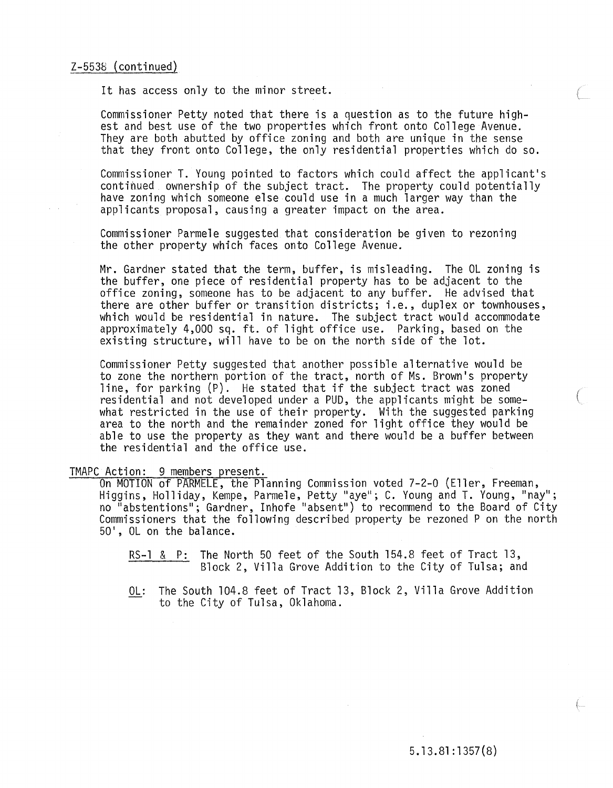### Z-5538 (continued)

It has access only to the minor street.

Commissioner Petty noted that there is a question as to the future highest and best use of the two properties which front onto College Avenue. They are both abutted by office zoning and both are unique in the sense that they front onto College, the only residential properties which do so.

Commissioner T. Young pointed to factors which could affect the applicant's continued ownership of the subject tract. The property could potentially have zoning which someone else could use in a much larger way than the applicants proposal, causing a greater impact on the area.

Commissioner Parmele suggested that consideration be given to rezoning the other property which faces onto College Avenue.

Mr. Gardner stated that the term, buffer, is misleading. The OL zoning is the buffer, one piece of residential property has to be adjacent to the office zoning, someone has to be adjacent to any buffer. He advised that there are other buffer or transition districts; i.e., duplex or townhouses, which would be residential in nature. The subject tract would accommodate approximately 4,000 sq. ft. of light office use. Parking, based on the existing structure, will have to be on the north side of the lot.

Commissioner Petty suggested that another possible alternative would be to zone the northern portion of the tract, north of Ms. Brown's property line, for parking (P). He stated that if the subject tract was zoned residential and not developed under a PUD, the applicants might be somewhat restricted in the use of their property. With the suggested parking area to the north and the remainder zoned for light office they would be able to use the property as they want and there would be a buffer between the residential and the office use.

### TMAPC Action: 9 members present.

On MOTION of PARMELE, the Planning Commission voted 7-2-0 (Eller, Freeman, Higgins, Holliday, Kempe, Parmele, Petty "aye"; C. Young and T. Young, "nay"; no "abstentions"; Gardner, Inhofe "absent") to recommend to the Board of City Commissioners that the following described property be rezoned P on the north 50', OL on the balance.

RS-1 & P: The North 50 feet of the South 154.8 feet of Tract 13, Block 2, Villa Grove Addition to the City of Tulsa; and

OL: The South 104.8 feet of Tract 13, Block 2, Villa Grove Addition to the City of Tulsa, Oklahoma.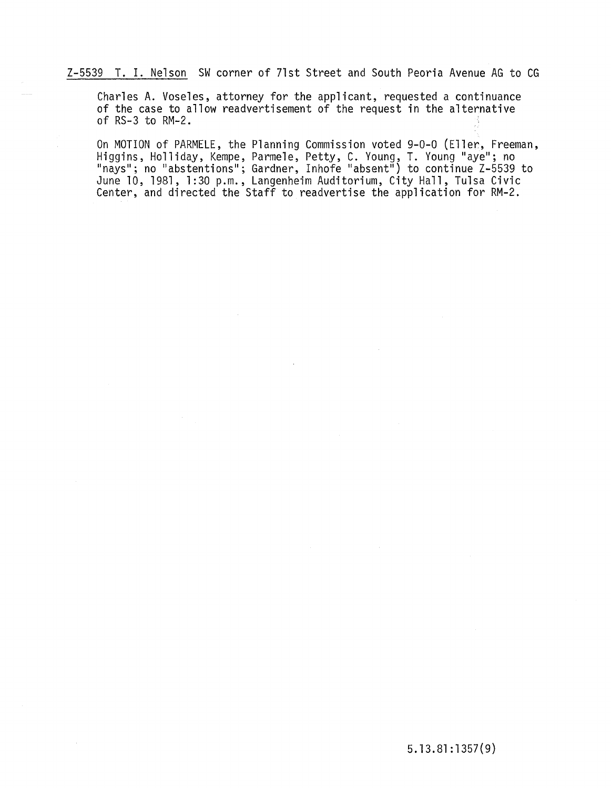Z-5539 T. I. Nelson SW corner of 71st Street and South Peoria Avenue AG to CG

Charles A. Voseles, attorney for the applicant, requested a continuance of the case to allow readvertisement of the request in the alternative of RS-3 to RM-2.

On MOTION of PARMELE, the Planning Commission voted 9-0-0 (Eller, Freeman, Higgins, Holliday, Kempe, Parmele, Petty, C. Young, T. Young "aye"; no "nays"; no "abstentions"; Gardner, Inhofe "absent") to continue Z-5539 to June 10,1981,1:30 p.m., Langenheim Auditorium, City Hall, Tulsa Civic Center, and directed the Staff to readvertise the application for RM-2.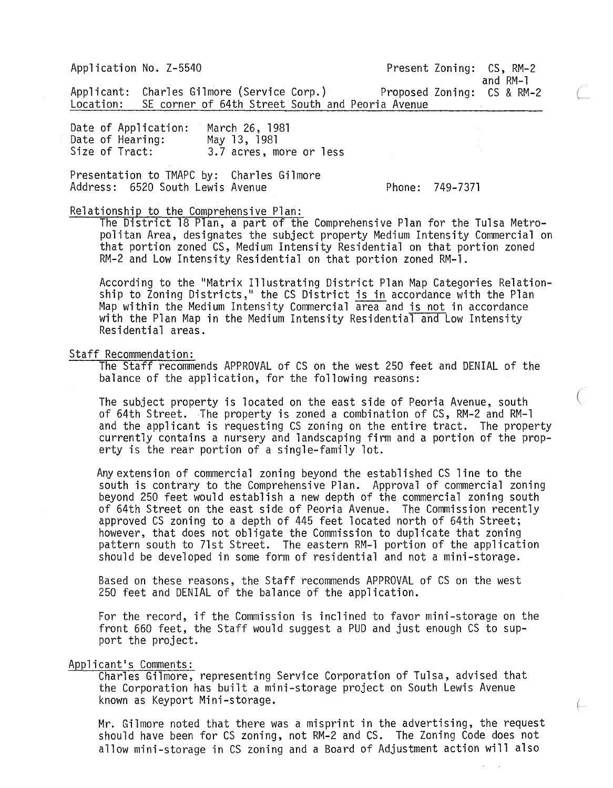Application No. Z-5540

Present Zoning: CS, RM-2

and RM-l

Applicant: Charles Gilmore (Service Corp.) Location: SE corner of 64th Street South and Peoria Avenue Proposed Zoning: CS & RM-2

Date of Application: Date of Hearing: Size of Tract: March 26, 1981 May 13, 1981 3.7 acres, more or less

Presentation to TMAPC by: Charles Gilmore Address: 6520 South Lewis Avenue

Phone: 749-7371

Relationship to the Comprehensive Plan:

The District 18 Plan, a part of the Comprehensive Plan for the Tulsa Metropolitan Area, designates the subject property Medium Intensity Commercial on that portion zoned CS, Medium Intensity Residential on that portion zoned RM-2 and Low Intensity Residential on that portion zoned RM-l.

According to the "Matrix Illustrating District Plan Map Categories Relationship to Zoning Districts," the CS District is in accordance with the Plan Map within the Medium Intensity Commercial area and is not in accordance with the Plan Map in the Medium Intensity Residential and Low Intensity Residential areas.

### Staff Recommendation:

The Staff recommends APPROVAL of CS on the west 250 feet and DENIAL of the balance of the application, for the following reasons:

The subject property is located on the east side of Peoria Avenue, south of 64th Street. The property is zoned a combination of CS, RM-2 and RM-l and the applicant is requesting CS zoning on the entire tract. The property currently contains a nursery and landscaping firm and a portion of the property is the rear portion of a single-family lot.

Any extension of commercial zoning beyond the established CS line to the south is contrary to the Comprehensive Plan. Approval of commercial zoning beyond 250 feet would establish a new depth of the commercial zoning south of 64th Street on the east side of Peoria Avenue. The Commission recently approved CS zoning to a depth of 445 feet located north of 64th Street; however, that does not obligate the Commission to duplicate that zoning pattern south to 7lst Street. The eastern RM-l portion of the application should be developed in some form of residential and not a mini-storage.

Based on these reasons, the Staff recommends APPROVAL of CS on the west 250 feet and DENIAL of the balance of the application.

For the record, if the Commission is inclined to favor mini-storage on the front 660 feet, the Staff would suggest a PUD and just enough CS to support the project.

Applicant's Comments:

Charles Gilmore, representing Service Corporation of Tulsa, advised that the Corporation has built a mini-storage project on South Lewis Avenue known as Keyport Mini-storage.

Mr. Gilmore noted that there was a misprint in the advertising, the request should have been for CS zoning, not RM-2 and CS. The Zoning Code does not allow mini-storage in CS zoning and a Board of Adjustment action will also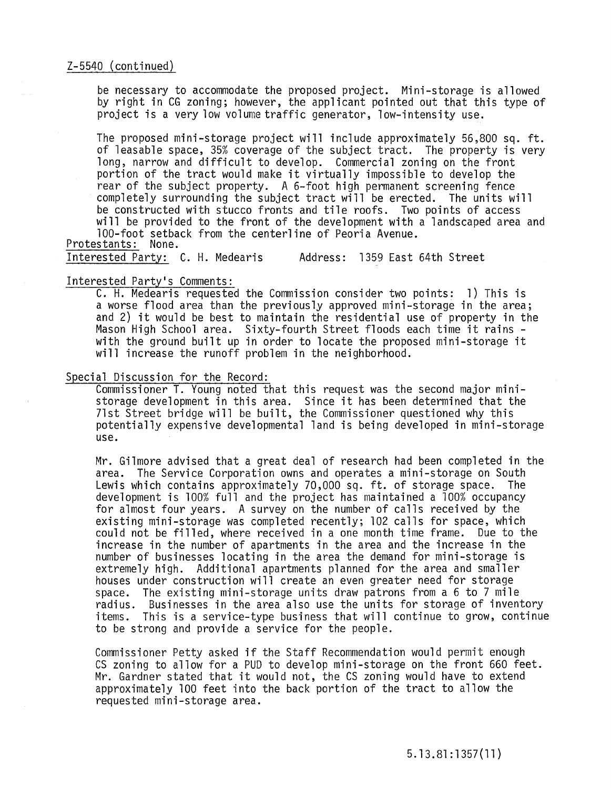### Z-5540 (continued)

be necessary to accommodate the proposed project. Mini-storage is allowed by right in CG zoning; however, the applicant pointed out that this type of project is a very low volume traffic generator, low-intensity use.

The proposed mini-storage project will include approximately 56,800 sq. ft. of leasable space, 35% coverage of the subject tract. The property is very long, narrow and difficult to develop. Commercial zoning on the front portion of the tract would make it virtually impossible to develop the rear of the subject property. A 6-foot high permanent screening fence completely surrounding the subject tract will be erected. The units will be constructed with stucco fronts and tile roofs. Two points of access will be provided to the front of the development with a landscaped area and 100-foot setback from the centerline of Peoria Avenue.

Protestants: None.

Interested Party: C. H. Medearis Address: 1359 East 64th Street

### Interested Party's Comments:

C. H. Medearis requested the Commission consider two points: 1) This is a worse flood area than the previously approved mini-storage in the area; and 2) it would be best to maintain the residential use of property in the Mason High School area. Sixty-fourth Street floods each time it rains - with the ground built up in order to locate the proposed mini-storage it will increase the runoff problem in the neighborhood.

## Special Discussion for the Record:

Commissioner T. Young noted that this request was the second major ministorage development in this area. Since it has been determined that the 71st Street bridge will be built, the Commissioner questioned why this potentially expensive developmental land is being developed in mini-storage use.

Mr. Gilmore advised that a great deal of research had been completed in the area. The Service Corporation owns and operates a mini-storage on South Lewis which contains approximately 70,000 sq. ft. of storage space. The development is 100% full and the project has maintained a 100% occupancy for almost four years. A survey on the number of calls received by the existing mini-storage was completed recently; 102 calls for space, which could not be filled, where received in a one month time frame. Due to the increase in the number of apartments in the area and the increase in the number of businesses locating in the area the demand for mini-storage is extremely high. Additional apartments planned for the area and smaller houses under construction will create an even greater need for storage space. The existing mini-storage units draw patrons from a 6 to 7 mile radius. Businesses in the area also use the units for storage of inventory items. This is a service-type business that will continue to grow, continue to be strong and provide a service for the people.

Commissioner Petty asked if the Staff Recommendation would permit enough CS zoning to allow for a PUD to develop mini-storage on the front 660 feet. Mr. Gardner stated that it would not, the CS zoning would have to extend approximately 100 feet into the back portion of the tract to allow the requested mini-storage area.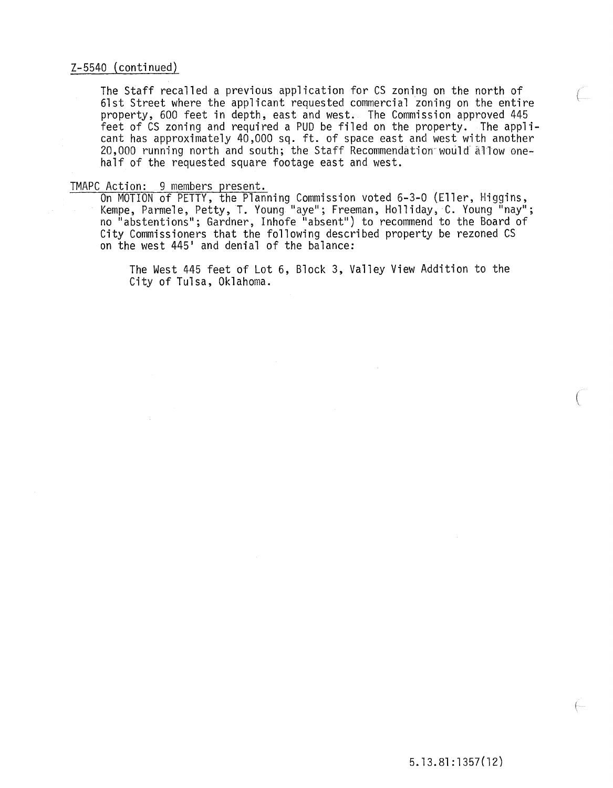### Z-5540 (continued)

The Staff recalled a previous application for CS zoning on the north of 61st Street where the applicant requested commercial zoning on the entire property, 600 feet in depth, east and west. The Commission approved 445 feet of CS zoning and required a PUD be filed on the property. The applicant has approximately 40,000 sq. ft. of space east and west with another 20,000 running north and south; the Staff Recommendation would allow onehalf of the requested square footage east and west.

TMAPC Action: 9 members present.<br>On MOTION of PETTY, the Planning Commission voted 6-3-0 (Eller, Higgins, Kempe, Parmele, Petty, T. Young "aye"; Freeman, Holliday~ C. Young "nay"; no "abstentionsll; Gardner, Inhofe "absent") to recommend to the Board of City Commissioners that the following described property be rezoned CS on the west 445' and denial of the balance:

> The West 445 feet of Lot 6, Block 3, Valley View Addition to the City of Tulsa, Oklahoma.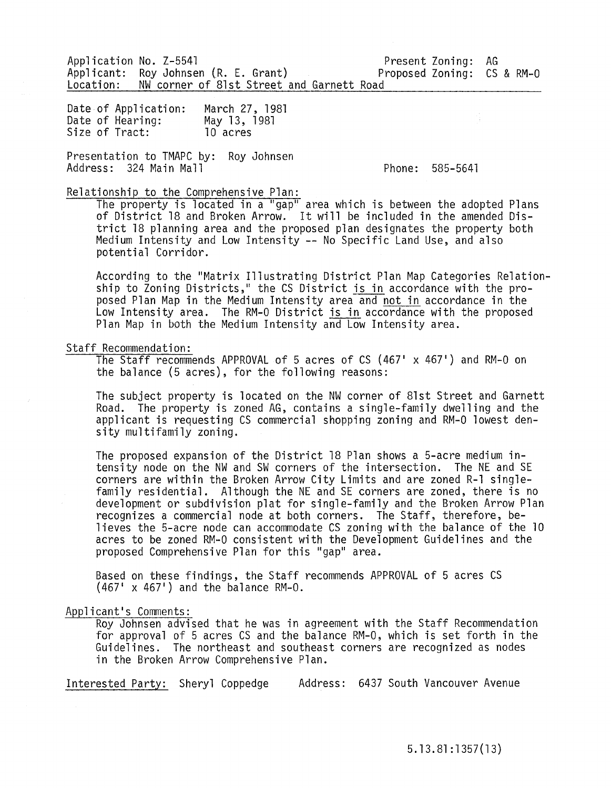Application No. Z-5541 Applicant: Roy Johnsen (R. E. Grant) Proposed Location: NW corner of 81st Street and Garnett Road Present Zoning: AG Proposed Zoning: CS & RM-0

Date of Application: Date of Hearing:<br>Size of Tract: March 27, 1981 May 13, 1981 10 acres

Presentation to TMAPC by: Roy Johnsen Address: 324 Main Mall

Phone: 585-5641

Relationship to the Comprehensive Plan:

The property is located in a "gap" area which is between the adopted Plans of District 18 and Broken Arrow. It will be included in the amended District 18 planning area and the proposed plan designates the property both Medium Intensity and Low Intensity -- No Specific Land Use, and also potential Corridor.

According to the "Matrix Illustrating District Plan Map Categories Relationship to Zoning Districts," the CS District is in accordance with the proposed Plan Map in the Medium Intensity area and not in accordance in the Low Intensity area. The RM-O District is in accordance with the proposed Plan Map in both the Medium Intensity and Low Intensity area.

### Staff Recommendation:

The Staff recommends APPROVAL of 5 acres of CS  $(467' \times 467')$  and RM-0 on the balance (5 acres), for the following reasons:

The subject property is located on the NW corner of 81st Street and Garnett Road. The property is zoned AG, contains a single-family dwelling and the applicant is requesting CS commercial shopping zoning and RM-O lowest density multifamily zoning.

The proposed expansion of the District 18 Plan shows a 5-acre medium intensity node on the NW and SW corners of the intersection. The NE and SE corners are within the Broken Arrow City Limits and are zoned R-l single- family residential. Although the NE and SE corners are zoned, there is no development or subdivision plat for single-family and the Broken Arrow Plan recognizes a commercial node at both corners. The Staff, therefore, believes the 5-acre node can accommodate CS zoning with the balance of the 10 acres to be zoned RM-O consistent with the Development Guidelines and the proposed Comprehensive Plan for this "gap" area.

Based on these findings, the Staff recommends APPROVAL of 5 acres CS  $(467' \times 467')$  and the balance RM-0.

#### Applicant's Comments:

Roy Johnsen advised that he was in agreement with the Staff Recommendation for approval of 5 acres CS and the balance RM-O, which is set forth in the Guidelines. The northeast and southeast corners are recognized as nodes in the Broken Arrow Comprehensive Plan.

Interested Party: Sheryl Coppedge Address: 6437 South Vancouver Avenue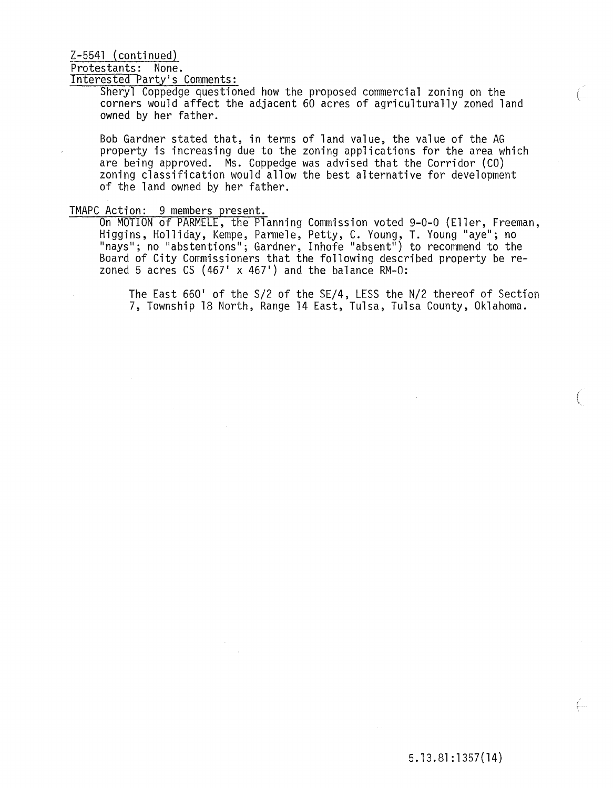### $Z-5541$  (continued)

Protestants: None.

Interested Party's Comments:

Sheryl Coppedge questioned how the proposed commercial zoning on the corners would affect the adjacent 60 acres of agriculturally zoned land owned by her father.

Bob Gardner stated that, in terms of land value, the value of the AG property is increasing due to the zoning applications for the area which are being approved. Ms. Coppedge was advised that the Corridor (CO) zoning classification would allow the best alternative for development of the land owned by her father.

### TMAPC Action: 9 members present.

On MOTION of PARMELE, the Planning Commission voted 9-0-0 (Eller, Freeman, Higgins, Holliday, Kempe, Parmele, Petty, C. Young, T. Young "aye"; no "nays"; no "abstentions"; Gardner, Inhofe "absent") to recommend to the Board of City Commissioners that the following described property be rezoned 5 acres CS (467'  $\times$  467') and the balance RM-0:

The East 660' of the S/2 of the SE/4, LESS the N/2 thereof of Section 7, Township 18 North, Range 14 East, Tulsa, Tulsa County, Oklahoma.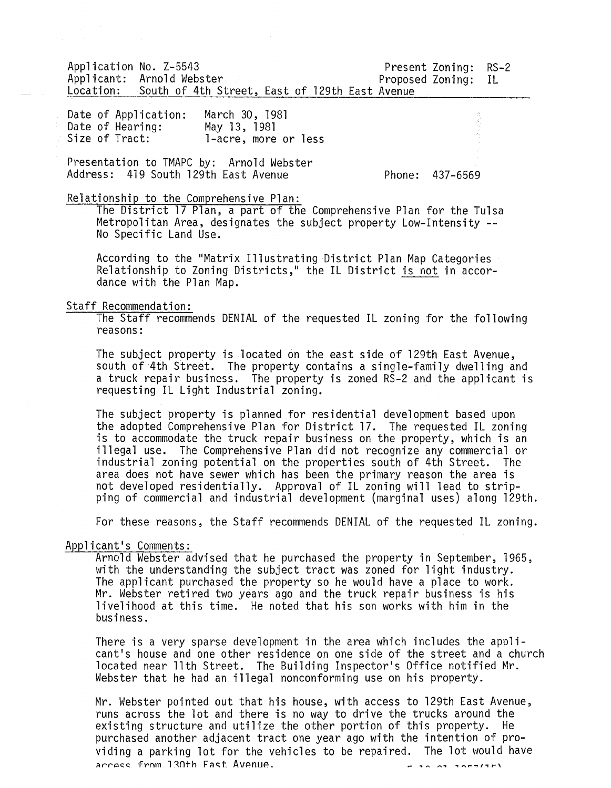Application No. Z-5543 Present Zoning: RS-2 Applicant: Arnold Webster Location: South of 4th Street, East of 129th East Avenue

Date of Application: March 30, 1981<br>Date of Hearing: May 13, 1981 Date of Hearing:<br>Size of Tract: l-acre, more or less

Presentation to TMAPC by: Arnold Webster Address: 419 South 129th East Avenue Phone: 437-6569

Relationship to the Comprehensive Plan:

The District 17 Plan, a part of the Comprehensive Plan for the Tulsa Metropolitan Area, designates the subject property Low-Intensity -- No Specific Land Use.

According to the "Matrix Illustrating District Plan Map Categories Relationship to Zoning Districts," the IL District is not in accordance with the Plan Map.

#### Staff Recommendation:

The Staff recommends DENIAL of the requested IL zoning for the following reasons:

The subject property is located on the east side of 129th East Avenue, south of 4th Street. The property contains a single-family dwelling and a truck repair business. The property is zoned RS-2 and the applicant is requesting IL Light Industrial zoning.

The subject property is planned for residential development based upon the adopted Comprehensive Plan for District 17. The requested IL zoning is to accommodate the truck repair business on the property, which is an illegal use. The Comprehensive Plan did not recognize any commercial or industrial zoning potential on the properties south of 4th Street. The area does not have sewer which has been the primary reason the area is<br>not developed residentially. Approval of IL zoning will lead to stripping of commercial and industrial development (marginal uses) along 129th.

For these reasons, the Staff recommends DENIAL of the requested IL zoning.

### App1icant 's Comments:

Arnold Webster advised that he purchased the property in September, 1965, with the understanding the subject tract was zoned for light industry. The applicant purchased the property so he would have a place to work. Mr. Webster retired two years ago and the truck repair business is his livelihood at this time. He noted that his son works with him in the business.

There is a very sparse development in the area which includes the app1icant's house and one other residence on one side of the street and a church located near 11th Street. The Building Inspector's Office notified Mr. Webster that he had an illegal nonconforming use on his property.

Mr. Webster pointed out that his house, with access to 129th East Avenue, runs across the lot and there is no way to drive the trucks around the existing structure and utilize the other portion of this property. He purchased another adjacent tract one year ago with the intention of providing a parking lot for the vehicles to be repaired. The lot would have<br>access from 130th East Avenue.  $H = 20.07$  and  $T = 10$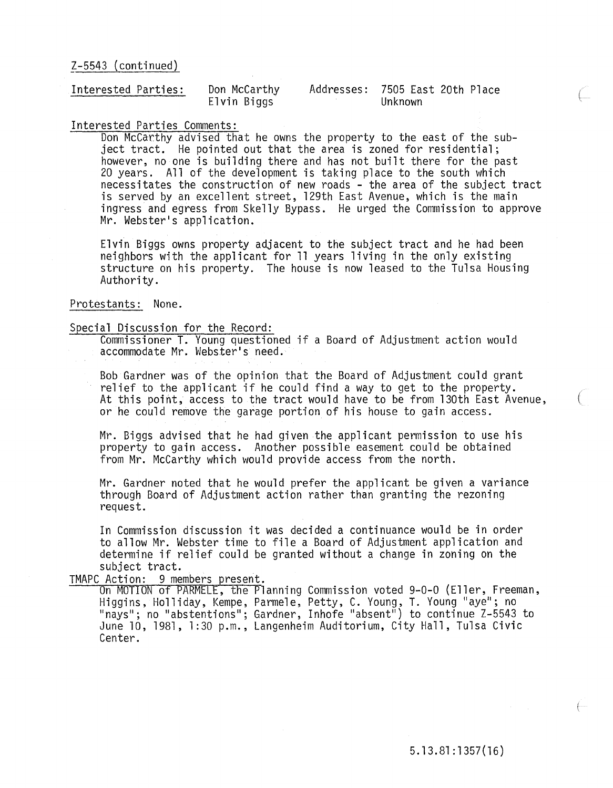### $Z-5543$  (continued)

| Interested Parties:                                                                                              | Don McCarthy | Addresses: 7505 East 20th Place |
|------------------------------------------------------------------------------------------------------------------|--------------|---------------------------------|
| www.difference.com/distributed/ferromagnetics/thermography.com/distributed/ferromagnetics/the-comments/paper.com | Elvin Biggs  | Unknown                         |

### Interested Parties Comments:

Don McCarthy advised that he owns the property to the east of the subject tract. He pointed out that the area is zoned for residential; however, no one is building there and has not built there for the past 20 years. All of the development is taking place to the south which necessitates the construction of new roads - the area of the subject tract is served by an excellent street, 129th East Avenue, which is the main ingress and egress from Skelly Bypass. He urged the Commission to approve Mr. Webster's application.

Elvin Biggs owns property adjacent to the subject tract and he had been neighbors with the applicant for 11 years living in the only existing structure on his property. The house is now leased to the Tulsa Housing Authority.

## Protestants: None.

### Special Discussion for the Record:

Commissioner T. Young questioned if a Board of Adjustment action would accommodate Mr. Webster's need.

Bob Gardner was of the opinion that the Board of Adjustment could grant relief to the applicant if he could find a way to get to the property. At this point, access to the tract would have to be from 130th East Avenue, or he could remove the garage portion of his house to gain access.

Mr. Biggs advised that he had given the applicant permission to use his property to gain access. Another possible easement could be obtained from Mr. McCarthy which would provide access from the north.

Mr. Gardner noted that he would prefer the applicant be given a variance through Board of Adjustment action rather than granting the rezoning request.

In Commission discussion it was decided a continuance would be in order to allow Mr. Webster time to file a Board of Adjustment application and determine if relief could be granted without a change in zoning on the

# subject tract.<br>TMAPC Action: 9 members present.

On MOTION of PARMELE, the Planning Commission voted 9-0-0 (Eller, Freeman, Higgins, Holliday, Kempe, Parmele, Petty, C. Young, T. Young "aye"; no "nays"; no "abstentions"; Gardner, Inhofe "absent") to continue Z-5543 to June 10, 1981, 1:30 p.m., Langenheim Auditorium, City Hall, Tulsa Civic Center.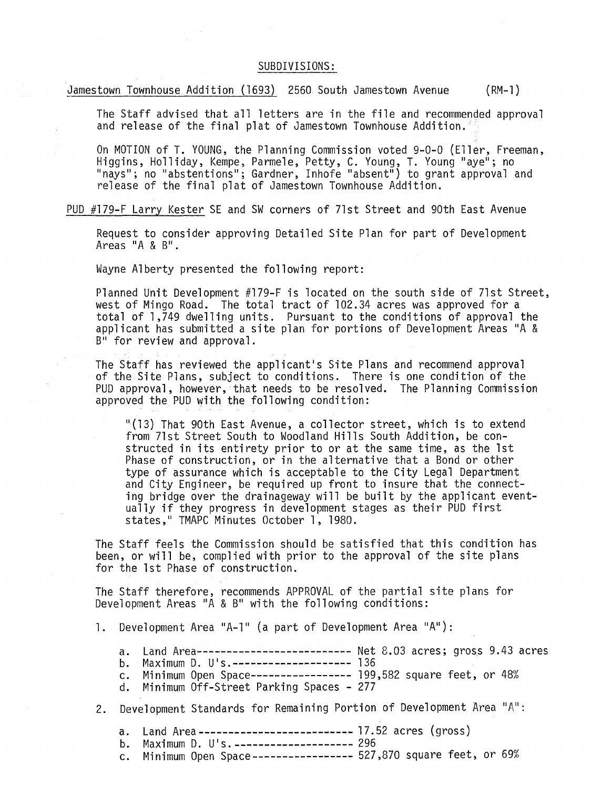### SUBDIVISIONS:

Jamestown Townhouse Addition (1693) 2560 South Jamestown Avenue (RM-l)

The Staff advised that all letters are in the file and recommended approval and release of the final plat of Jamestown Townhouse Addition.

On MOTION of T. YOUNG, the Planning Commission voted 9-0-0 (Eller, Freeman, Higgins, Holliday, Kempe, Parmele, Petty, C. Young, T. Young "aye"; no "nays"; no "abstentions"; Gardner, Inhofe "absent") to grant approval and release of the final plat of Jamestown Townhouse Addition.

PUD #179-F Larry Kester SE and SW corners of 71st Street and 90th East Avenue

Request to consider approving Detailed Site Plan for part of Development Areas "A & B".

Wayne Alberty presented the following report:

Planned Unit Development #179-F is located on the south side of 71st Street, west of Mingo Road. The total tract of 102.34 acres was approved for a total of 1,749 dwelling units. Pursuant to the conditions of approval the applicant has submitted a site plan for portions of Development Areas "A & B" for review and approval.

The Staff has reviewed the applicant's Site Plans and recommend approval of the Site Plans, subject to conditions. There is one condition of the PUD approval, however, that needs to be resolved. The Planning Commission approved the PUD with the following condition:

"(13) That 90th East Avenue, a collector street, which is to extend from 71st Street South to Woodland Hills South Addition, be constructed in its entirety prior to or at the same time, as the 1st Phase of construction, or in the alternative that a Bond or other type of assurance which is acceptable to the City Legal Department and City Engineer, be required up front to insure that the connecting bridge over the drainageway will be built by the applicant eventually if they progress in development stages as their PUD first states," TMAPC Minutes October 1, 1980.

The Staff feels the Commission should be satisfied that this condition has been, or will be, complied with prior to the approval of the site plans for the 1st Phase of construction.

The Staff therefore, recommends APPROVAL of the partial site plans for Development Areas "A & B" with the following conditions:

1. Development Area "A-l" (a part of Development Area "A"):

a. Land Area-------------------------- Net 8.03 acres; gross 9.43 acres

- b. Maximum D. U's.-------------------- 136
- c. Minimum Open Space----------------- 199,582 square feet, or 48%
- d. Minimum Off-Street Parking Spaces 277
- 2. Development Standards for Remaining Portion of Development Area " $A$ ":
	- a. Land Area-------------------------- 17.52 acres (gross)
	- b. Maximum D. U's.-------------------- 296<br>c. Minimum Open Space---------------- 527
	- Minimum Open Space----------------- 527,870 square feet, or 69%